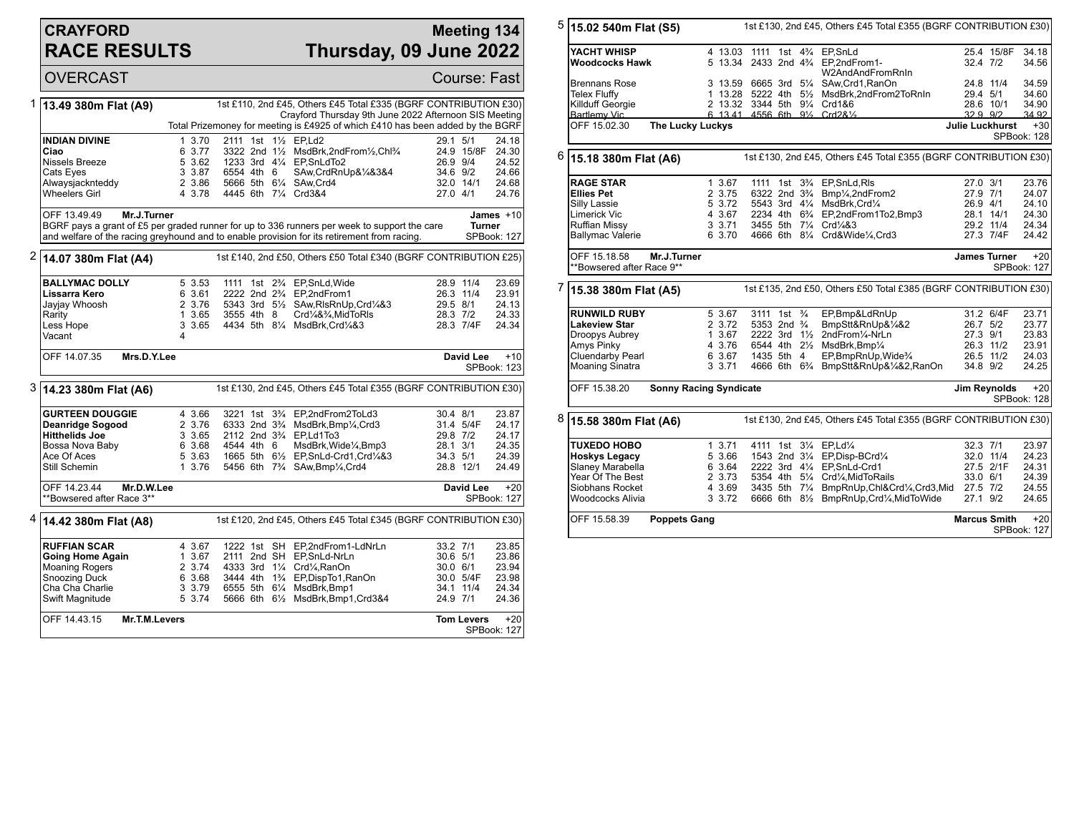## **CRAYFORD RACE RESULTS**

## **Meeting 134 Thursday, 09 June 2022**

OVERCAST Course: Fast 1 **13.49 380m Flat (A9)** 1st £110, 2nd £45, Others £45 Total £335 (BGRF CONTRIBUTION £30) Crayford Thursday 9th June 2022 Afternoon SIS Meeting Total Prizemoney for meeting is £4925 of which £410 has been added by the BGRF **INDIAN DIVINE** 1 3.70 2111 1st 1<sup>1</sup>/<sub>2</sub> EP,Ld2 2001 29.1 5/1 24.18<br> **Ciao** 6 3.77 3322 2nd 1<sup>1</sup>/<sub>2</sub> MsdBrk.2ndFrom<sup>1</sup>/<sub>2</sub>.Chl<sup>9</sup>/<sub>4</sub> 24.9 15/8F 24.30 **Ciao** 6 3.77 3322 2nd 1½ MsdBrk,2ndFrom½,Chl¾ 24.9 15/8F 24.30<br>Nissels Breeze 5 3.62 1233 3rd 4¼ EP,SnLdTo2 26.9 9/4 24.52 Nissels Breeze 5 3.62 1233 3rd 4¼ EP,SnLdTo2 26.9 9/4 24.52 Cats Eyes 3 3.87 6554 4th 6 SAw,CrdRnUp&¼&3&4 34.6 9/2 24.66 Alwaysjacknteddy 2 3.86 5666 5th 6¼ SAw,Crd4 32.0 14/1 24.68 Wheelers Girl **4 3.78 4445 6th 71/4 Crd3&4** 27.0 4/1 24.76 OFF 13.49.49 **Mr.J.Turner** BGRF pays a grant of £5 per graded runner for up to 336 runners per week to support the care and welfare of the racing greyhound and to enable provision for its retirement from racing. **James** +10 **Turner** SPBook: 127 2 **14.07 380m Flat (A4)** 1st £140, 2nd £50, Others £50 Total £340 (BGRF CONTRIBUTION £25) **BALLYMAC DOLLY** 5 3.53 1111 1st 2<sup>3</sup>/<sub>4</sub> EP,SnLd,Wide 28.9 11/4 23.69<br> **Lissarra Kero** 6 3.61 2222 2nd 2<sup>3</sup>/<sub>4</sub> EP,2ndFrom1 26.3 11/4 23.91 **Lissarra Kero** 6 3.61 2222 2nd 2¾ EP,2ndFrom1 26.3 11/4 23.91 Jayjay Whoosh 2 3.76 5343 3rd 5½ SAw,RlsRnUp,Crd¼&3 29.5 8/1 24.13 Rarity 1 3.65 3555 4th 8 Crd¼&¾,MidToRls 28.3 7/2 24.33<br>1 1 3.65 4434 5th 8¼ MsdBrk,Crd¼&3 28.3 7/4F 24.34 4434 5th 81/4 MsdBrk,Crd1/4&3 Vacant 4 OFF 14.07.35 **Mrs.D.Y.Lee David Lee** +10 SPBook: 123 3 **14.23 380m Flat (A6)** 1st £130, 2nd £45, Others £45 Total £355 (BGRF CONTRIBUTION £30) **GURTEEN DOUGGIE** 4 3.66 3221 1st 3<sup>3</sup>/<sub>4</sub> EP,2ndFrom2ToLd3 30.4 8/1 23.87<br>**Deanridge Sogood** 2 3.76 6333 2nd 3<sup>3</sup>/<sub>4</sub> MsdBrk,Bmp<sup>1</sup>/<sub>4</sub>,Crd3 31.4 5/4F 24.17 **Deanridge Sogood** 2 3.76 6333 2nd 3<sup>3</sup>/<sub>4</sub> MsdBrk,Bmp¼,Crd3 31.4 5/4F 24.17<br> **Hitthelids Joe** 3 3.65 2112 2nd 3<sup>3</sup>/<sub>4</sub> EP,Ld1To3 29.8 7/2 24.17 **Hitthelids Joe** 3 3.65 2112 2nd 3¾ EP,Ld1To3 29.8 7/2 24.17 Bossa Nova Baby 6 3.68 4544 4th 6 MsdBrk, Wide¼, Bmp3 28.1 3/1 24.35<br>Ace Of Aces 6 3.63 1665 5th 61⁄2 EP SnLd-Crd1. Crd¼&3 34.3 5/1 24.39 Ace Of Aces 5 3.63 1665 5th 6½ EP, SnLd-Crd1, Crd1, 24.3 34.3 5/1 24.39<br>
5 34.3 5/1 24.39 5till Schemin 1 3.76 5456 6th 7<sup>3</sup>/<sub>4</sub> SAw, Bmp<sup>1</sup>/<sub>4</sub>, Crd4 28.8 12/1 24.49 5456 6th 7<sup>3</sup>/<sub>4</sub> SAw,Bmp<sup>1</sup>/<sub>4</sub>,Crd4 OFF 14.23.44 **Mr.D.W.Lee** \*\*Bowsered after Race 3\*\* **David Lee** +20 SPBook: 127 4 **14.42 380m Flat (A8)** 1st £120, 2nd £45, Others £45 Total £345 (BGRF CONTRIBUTION £30) **RUFFIAN SCAR** 4 3.67 1222 1st SH EP,2ndFrom1-LdNrLn 33.2 7/1 23.85<br> **Going Home Again** 1 3.67 2111 2nd SH EP,SnLd-NrLn 30.6 5/1 23.86 **Going Home Again** 1 3.67 2111 2nd SH EP, SnLd-NrLn 30.6 5/1 23.86<br>Moaning Rogers 2 3.74 4333 3rd 1<sup>1</sup>/<sub>4</sub> Crd<sup>1</sup>/<sub>4</sub> RanOn 30.0 6/1 23.94 Moaning Rogers 2 3.74 4333 3rd 1¼ Crd¼,RanOn 30.0 6/1 23.94<br>Snoozing Duck 6 3.68 3444 4th 1¾ EP,DispTo1,RanOn 30.0 5/4F 23.98 Snoozing Duck 6 3.68 3444 4th 1¾ EP,DispTo1,RanOn 30.0 5/4F 23.98 Cha Cha Charlie 3 3.79 6555 5th 6¼ MsdBrk,Bmp1 34.1 11/4 24.34<br>Swift Magnitude 5 3.74 5666 6th 6½ MsdBrk,Bmp1,Crd3&4 24.9 7/1 24.36 5666 6th 6½ MsdBrk,Bmp1,Crd3&4 OFF 14.43.15 **Mr.T.M.Levers Tom Levers** +20 SPBook: 127

| 5<br>15.02 540m Flat (S5) |                                           |                               |                  |                                        | 1st £130, 2nd £45, Others £45 Total £355 (BGRF CONTRIBUTION £30) |  |                                                                                              |                           |                        |                      |  |
|---------------------------|-------------------------------------------|-------------------------------|------------------|----------------------------------------|------------------------------------------------------------------|--|----------------------------------------------------------------------------------------------|---------------------------|------------------------|----------------------|--|
|                           | YACHT WHISP<br>Woodcocks Hawk             |                               |                  |                                        |                                                                  |  | 4 13.03 1111 1st 4 <sup>3</sup> / <sub>4</sub> EP.SnLd<br>5 13.34 2433 2nd 43/4 EP,2ndFrom1- | 32.4 7/2                  | 25.4 15/8F             | 34.18<br>34.56       |  |
|                           |                                           |                               |                  |                                        |                                                                  |  | W2AndAndFromRnIn                                                                             |                           |                        |                      |  |
|                           | <b>Brennans Rose</b>                      |                               |                  |                                        |                                                                  |  | 3 13.59 6665 3rd 51/4 SAw, Crd1, RanOn                                                       |                           | 24.8 11/4              | 34.59                |  |
|                           | <b>Telex Fluffy</b>                       |                               |                  |                                        |                                                                  |  | 1 13.28 5222 4th 51/2 MsdBrk, 2nd From 2To Rn In<br>2 13.32 3344 5th 91/4 Crd1&6             | 29.4 5/1                  |                        | 34.60                |  |
|                           | Killduff Georgie<br><b>Bartlemy Vic</b>   |                               |                  |                                        |                                                                  |  | 6 13 41 4556 6th 91/ <sub>2</sub> Crd2&1/ <sub>2</sub>                                       | 28.6 10/1<br>$3299$ $9/2$ |                        | 34.90<br>34.92       |  |
|                           | OFF 15.02.30                              | <b>The Lucky Luckys</b>       |                  |                                        |                                                                  |  |                                                                                              | <b>Julie Luckhurst</b>    |                        | $+30$                |  |
|                           |                                           |                               |                  |                                        |                                                                  |  | SPBook: 128                                                                                  |                           |                        |                      |  |
| 6<br>15.18 380m Flat (A6) |                                           |                               |                  |                                        | 1st £130, 2nd £45, Others £45 Total £355 (BGRF CONTRIBUTION £30) |  |                                                                                              |                           |                        |                      |  |
|                           | <b>RAGE STAR</b>                          |                               | 1 3.67           |                                        |                                                                  |  | 1111 1st 3 <sup>3</sup> / <sub>4</sub> EP, SnLd, RIs                                         | 27.0 3/1                  |                        | 23.76                |  |
|                           | <b>Ellies Pet</b>                         |                               | 2 3.75           | 6322 2nd 3 <sup>3</sup> / <sub>4</sub> |                                                                  |  | Bmp1/ <sub>4</sub> ,2ndFrom2                                                                 | 27.9 7/1                  |                        | 24.07                |  |
|                           | Silly Lassie                              |                               | 5 3.72           |                                        |                                                                  |  | 5543 3rd 41/4 MsdBrk, Crd1/4                                                                 | 26.9 4/1                  |                        | 24.10                |  |
|                           | Limerick Vic<br>Ruffian Missy             |                               | 4 3.67<br>3 3.71 |                                        |                                                                  |  | 2234 4th 6 <sup>3</sup> / <sub>4</sub> EP,2ndFrom1To2,Bmp3<br>3455 5th 71/4 Crd1/4&3         |                           | 28.1 14/1<br>29.2 11/4 | 24.30<br>24.34       |  |
|                           | <b>Ballymac Valerie</b>                   |                               | 6 3.70           |                                        |                                                                  |  | 4666 6th 81/4 Crd&Wide1/4, Crd3                                                              |                           | 27.3 7/4F              | 24.42                |  |
|                           |                                           |                               |                  |                                        |                                                                  |  |                                                                                              |                           |                        |                      |  |
|                           | OFF 15.18.58<br>**Bowsered after Race 9** | Mr.J.Turner                   |                  |                                        |                                                                  |  |                                                                                              |                           | <b>James Turner</b>    | $+20$<br>SPBook: 127 |  |
|                           |                                           |                               |                  |                                        |                                                                  |  |                                                                                              |                           |                        |                      |  |
| 7                         | 15.38 380m Flat (A5)                      |                               |                  |                                        |                                                                  |  | 1st £135, 2nd £50, Others £50 Total £385 (BGRF CONTRIBUTION £30)                             |                           |                        |                      |  |
|                           | <b>RUNWILD RUBY</b>                       |                               | 5 3.67           | 3111 1st 3/4                           |                                                                  |  | EP,Bmp&LdRnUp                                                                                |                           | 31.2 6/4F              | 23.71                |  |
|                           | <b>Lakeview Star</b>                      |                               | 2 3.72           | 5353 2nd 3/4                           |                                                                  |  | BmpStt&RnUp&1/4&2                                                                            | 26.7 5/2                  |                        | 23.77                |  |
|                           | Droopys Aubrey                            |                               | 1 3.67           | $2222$ 3rd $1\frac{1}{2}$              |                                                                  |  | 2ndFrom1/4-NrLn                                                                              | 27.3 9/1                  |                        | 23.83                |  |
|                           | Amys Pinky                                |                               | 4 3.76           |                                        |                                                                  |  | 6544 4th 21/2 MsdBrk, Bmp1/4                                                                 |                           | 26.3 11/2              | 23.91                |  |
|                           | Cluendarby Pearl                          |                               | 6 3.67           | 1435 5th 4                             |                                                                  |  | EP,BmpRnUp,Wide <sup>3</sup> /4                                                              |                           | 26.5 11/2              | 24.03                |  |
|                           | <b>Moaning Sinatra</b>                    |                               | 3 3.71           |                                        |                                                                  |  | 4666 6th 6 <sup>3</sup> / <sub>4</sub> BmpStt&RnUp&1/4&2,RanOn                               | 34.8 9/2                  |                        | 24.25                |  |
|                           | OFF 15.38.20                              | <b>Sonny Racing Syndicate</b> |                  |                                        |                                                                  |  |                                                                                              |                           | Jim Reynolds           | $+20$<br>SPBook: 128 |  |
| 8                         | 15.58 380m Flat (A6)                      |                               |                  |                                        |                                                                  |  | 1st £130, 2nd £45, Others £45 Total £355 (BGRF CONTRIBUTION £30)                             |                           |                        |                      |  |
|                           | <b>TUXEDO HOBO</b>                        |                               | 13.71            |                                        |                                                                  |  | 4111 1st 31/4 EP,Ld1/4                                                                       | 32.3 7/1                  |                        | 23.97                |  |
|                           | Hoskys Legacy                             |                               | 5 3.66           |                                        |                                                                  |  | 1543 2nd 31/4 EP, Disp-BCrd1/4                                                               | 32.0 11/4                 |                        | 24.23                |  |
|                           | Slaney Marabella                          |                               | 6 3.64           |                                        |                                                                  |  | 2222 3rd 41/4 EP, SnLd-Crd1                                                                  |                           | 27.5 2/1F              | 24.31                |  |
|                           | Year Of The Best                          |                               | 2 3.73           |                                        |                                                                  |  | 5354 4th 51/4 Crd1/4, MidToRails                                                             | 33.0 6/1                  |                        | 24.39                |  |
|                           | Siobhans Rocket<br>Woodcocks Alivia       |                               | 4 3.69<br>3 3.72 |                                        |                                                                  |  | 3435 5th 71/4 BmpRnUp, Chl&Crd1/4, Crd3, Mid<br>6666 6th 81/2 BmpRnUp, Crd1/4, MidToWide     | 27.5 7/2<br>27.1 9/2      |                        | 24.55<br>24.65       |  |
|                           |                                           |                               |                  |                                        |                                                                  |  |                                                                                              |                           |                        |                      |  |
|                           | OFF 15.58.39                              | <b>Poppets Gang</b>           |                  |                                        |                                                                  |  |                                                                                              | <b>Marcus Smith</b>       |                        | $+20$<br>SPBook: 127 |  |